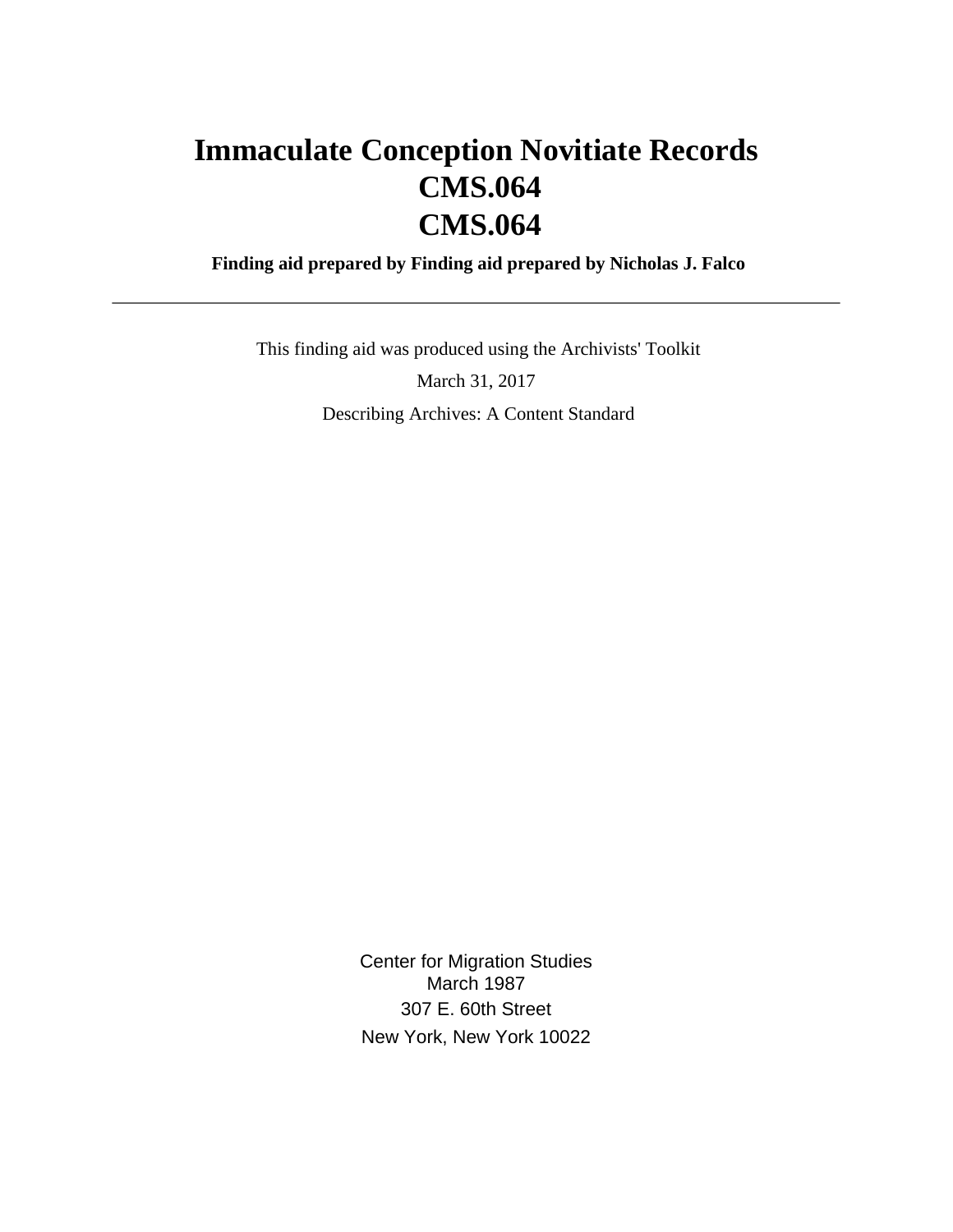# **Immaculate Conception Novitiate Records CMS.064 CMS.064**

 **Finding aid prepared by Finding aid prepared by Nicholas J. Falco**

 This finding aid was produced using the Archivists' Toolkit March 31, 2017 Describing Archives: A Content Standard

> Center for Migration Studies March 1987 307 E. 60th Street New York, New York 10022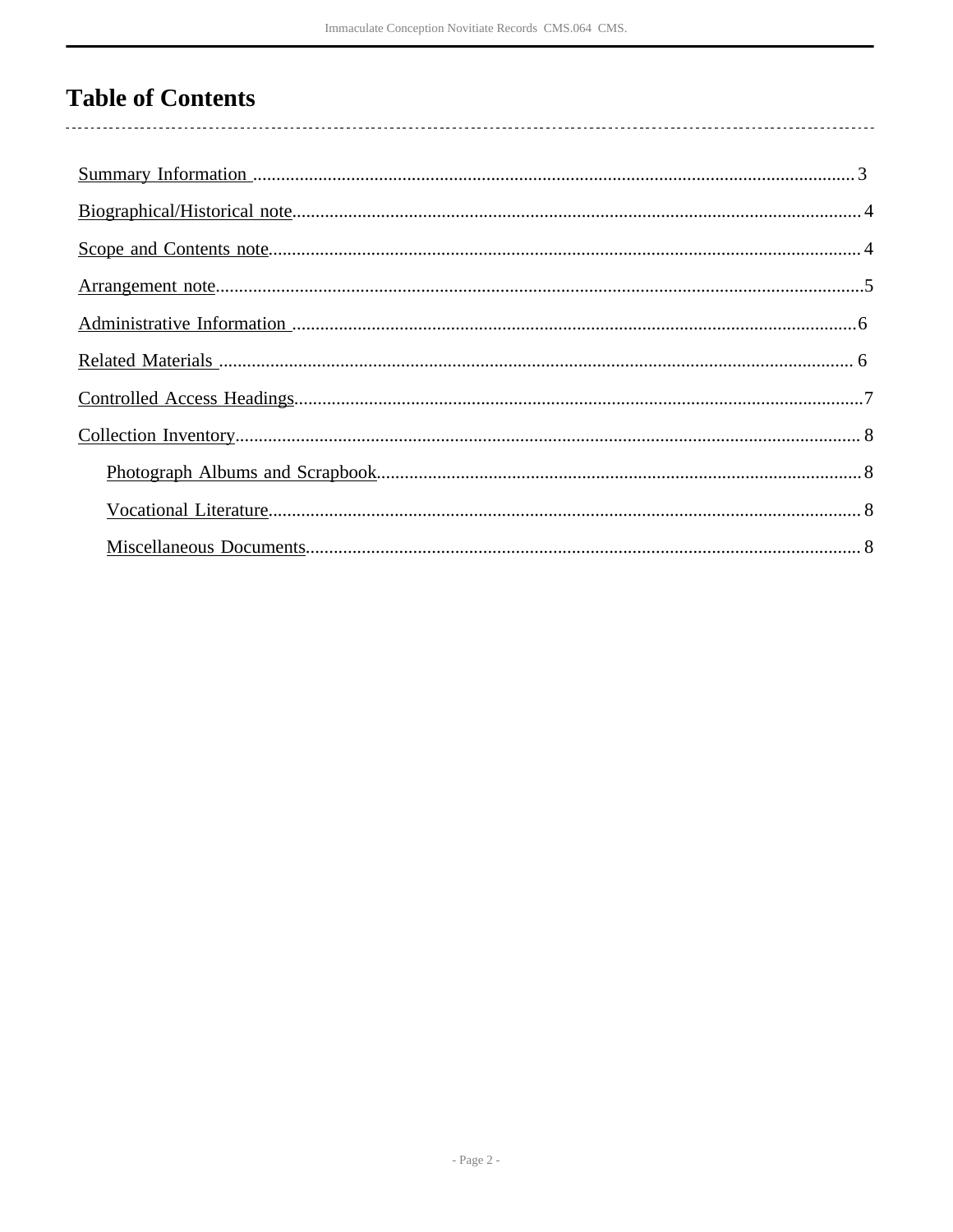# **Table of Contents**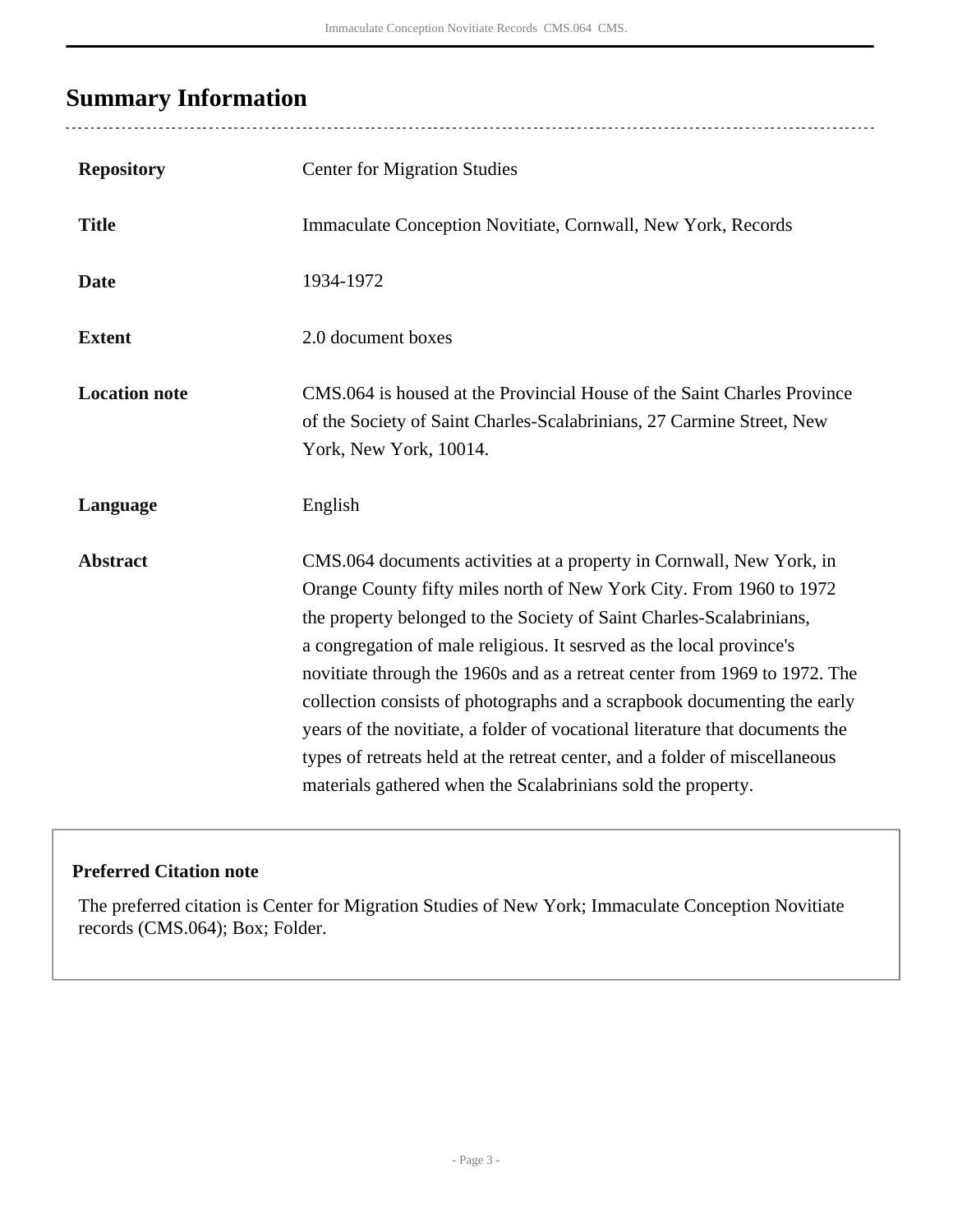## <span id="page-2-0"></span>**Summary Information**

| <b>Repository</b>    | <b>Center for Migration Studies</b>                                                                                                                                                                                                                                                                                                                                                                                                                                                                                                                                                                                                                                                  |
|----------------------|--------------------------------------------------------------------------------------------------------------------------------------------------------------------------------------------------------------------------------------------------------------------------------------------------------------------------------------------------------------------------------------------------------------------------------------------------------------------------------------------------------------------------------------------------------------------------------------------------------------------------------------------------------------------------------------|
| <b>Title</b>         | Immaculate Conception Novitiate, Cornwall, New York, Records                                                                                                                                                                                                                                                                                                                                                                                                                                                                                                                                                                                                                         |
| <b>Date</b>          | 1934-1972                                                                                                                                                                                                                                                                                                                                                                                                                                                                                                                                                                                                                                                                            |
| <b>Extent</b>        | 2.0 document boxes                                                                                                                                                                                                                                                                                                                                                                                                                                                                                                                                                                                                                                                                   |
| <b>Location note</b> | CMS.064 is housed at the Provincial House of the Saint Charles Province<br>of the Society of Saint Charles-Scalabrinians, 27 Carmine Street, New<br>York, New York, 10014.                                                                                                                                                                                                                                                                                                                                                                                                                                                                                                           |
| Language             | English                                                                                                                                                                                                                                                                                                                                                                                                                                                                                                                                                                                                                                                                              |
| <b>Abstract</b>      | CMS.064 documents activities at a property in Cornwall, New York, in<br>Orange County fifty miles north of New York City. From 1960 to 1972<br>the property belonged to the Society of Saint Charles-Scalabrinians,<br>a congregation of male religious. It sesrved as the local province's<br>novitiate through the 1960s and as a retreat center from 1969 to 1972. The<br>collection consists of photographs and a scrapbook documenting the early<br>years of the novitiate, a folder of vocational literature that documents the<br>types of retreats held at the retreat center, and a folder of miscellaneous<br>materials gathered when the Scalabrinians sold the property. |

### **Preferred Citation note**

The preferred citation is Center for Migration Studies of New York; Immaculate Conception Novitiate records (CMS.064); Box; Folder.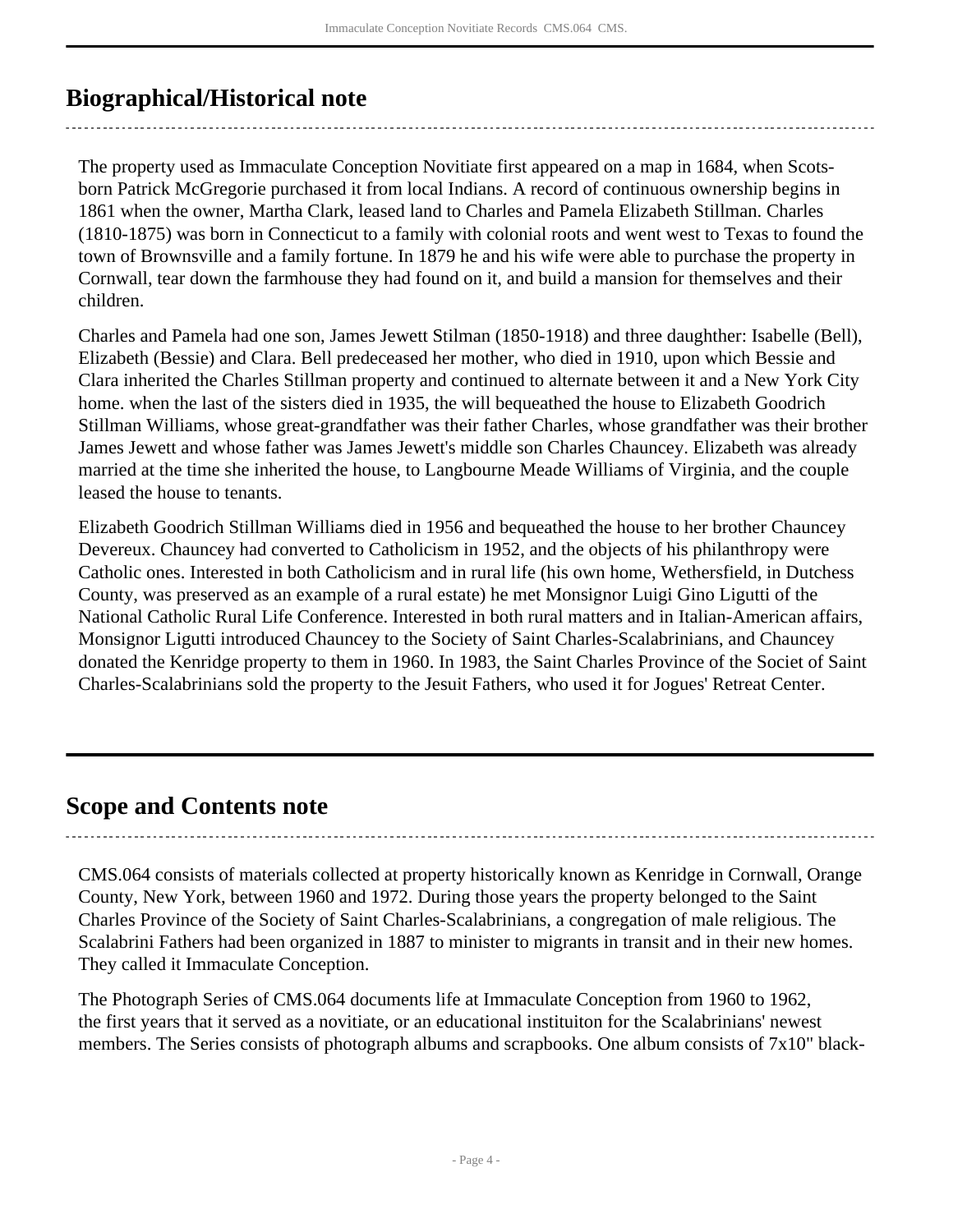## <span id="page-3-0"></span>**Biographical/Historical note**

The property used as Immaculate Conception Novitiate first appeared on a map in 1684, when Scotsborn Patrick McGregorie purchased it from local Indians. A record of continuous ownership begins in 1861 when the owner, Martha Clark, leased land to Charles and Pamela Elizabeth Stillman. Charles (1810-1875) was born in Connecticut to a family with colonial roots and went west to Texas to found the town of Brownsville and a family fortune. In 1879 he and his wife were able to purchase the property in Cornwall, tear down the farmhouse they had found on it, and build a mansion for themselves and their children.

Charles and Pamela had one son, James Jewett Stilman (1850-1918) and three daughther: Isabelle (Bell), Elizabeth (Bessie) and Clara. Bell predeceased her mother, who died in 1910, upon which Bessie and Clara inherited the Charles Stillman property and continued to alternate between it and a New York City home. when the last of the sisters died in 1935, the will bequeathed the house to Elizabeth Goodrich Stillman Williams, whose great-grandfather was their father Charles, whose grandfather was their brother James Jewett and whose father was James Jewett's middle son Charles Chauncey. Elizabeth was already married at the time she inherited the house, to Langbourne Meade Williams of Virginia, and the couple leased the house to tenants.

Elizabeth Goodrich Stillman Williams died in 1956 and bequeathed the house to her brother Chauncey Devereux. Chauncey had converted to Catholicism in 1952, and the objects of his philanthropy were Catholic ones. Interested in both Catholicism and in rural life (his own home, Wethersfield, in Dutchess County, was preserved as an example of a rural estate) he met Monsignor Luigi Gino Ligutti of the National Catholic Rural Life Conference. Interested in both rural matters and in Italian-American affairs, Monsignor Ligutti introduced Chauncey to the Society of Saint Charles-Scalabrinians, and Chauncey donated the Kenridge property to them in 1960. In 1983, the Saint Charles Province of the Societ of Saint Charles-Scalabrinians sold the property to the Jesuit Fathers, who used it for Jogues' Retreat Center.

### <span id="page-3-1"></span>**Scope and Contents note**

CMS.064 consists of materials collected at property historically known as Kenridge in Cornwall, Orange County, New York, between 1960 and 1972. During those years the property belonged to the Saint Charles Province of the Society of Saint Charles-Scalabrinians, a congregation of male religious. The Scalabrini Fathers had been organized in 1887 to minister to migrants in transit and in their new homes. They called it Immaculate Conception.

The Photograph Series of CMS.064 documents life at Immaculate Conception from 1960 to 1962, the first years that it served as a novitiate, or an educational instituiton for the Scalabrinians' newest members. The Series consists of photograph albums and scrapbooks. One album consists of 7x10" black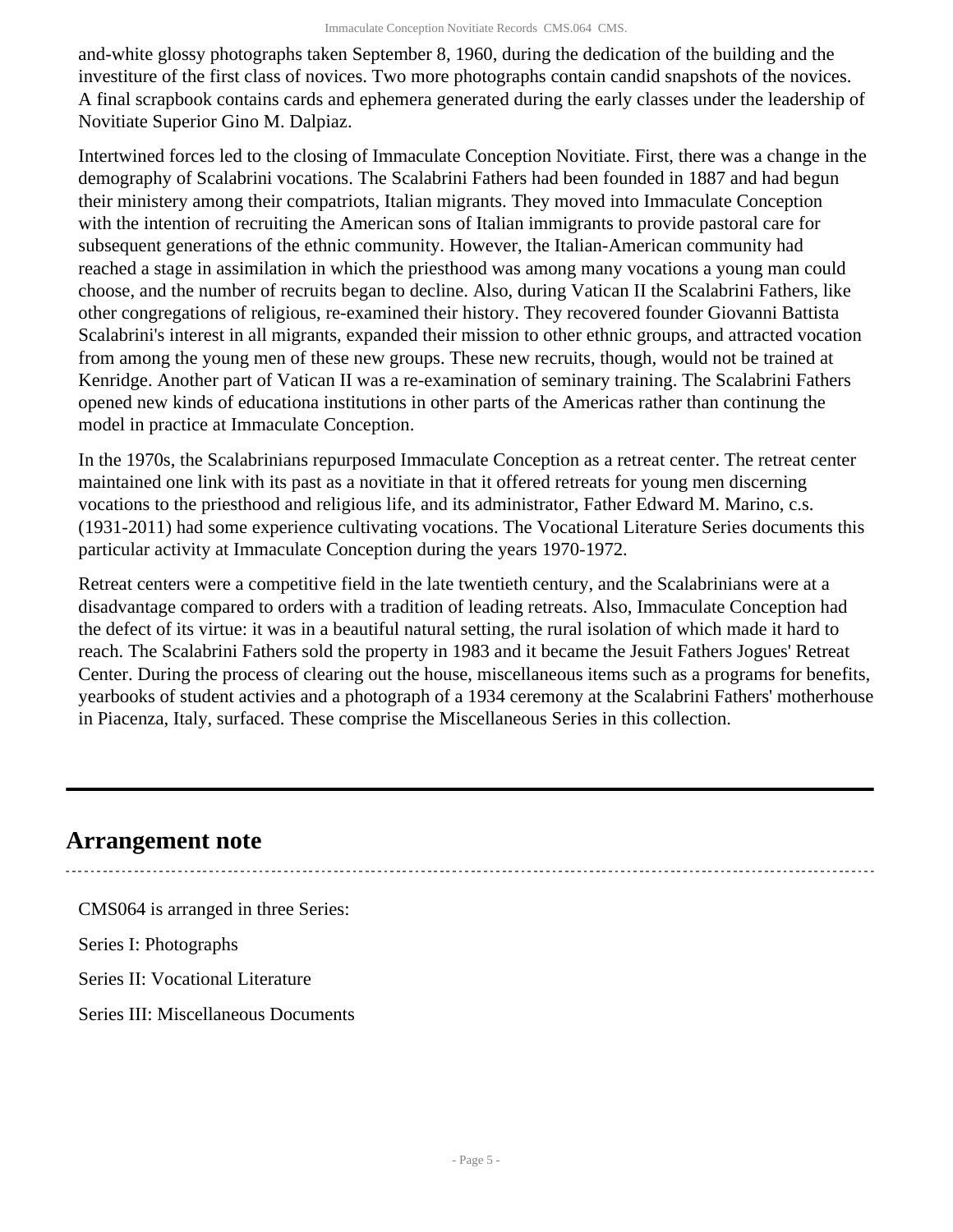and-white glossy photographs taken September 8, 1960, during the dedication of the building and the investiture of the first class of novices. Two more photographs contain candid snapshots of the novices. A final scrapbook contains cards and ephemera generated during the early classes under the leadership of Novitiate Superior Gino M. Dalpiaz.

Intertwined forces led to the closing of Immaculate Conception Novitiate. First, there was a change in the demography of Scalabrini vocations. The Scalabrini Fathers had been founded in 1887 and had begun their ministery among their compatriots, Italian migrants. They moved into Immaculate Conception with the intention of recruiting the American sons of Italian immigrants to provide pastoral care for subsequent generations of the ethnic community. However, the Italian-American community had reached a stage in assimilation in which the priesthood was among many vocations a young man could choose, and the number of recruits began to decline. Also, during Vatican II the Scalabrini Fathers, like other congregations of religious, re-examined their history. They recovered founder Giovanni Battista Scalabrini's interest in all migrants, expanded their mission to other ethnic groups, and attracted vocation from among the young men of these new groups. These new recruits, though, would not be trained at Kenridge. Another part of Vatican II was a re-examination of seminary training. The Scalabrini Fathers opened new kinds of educationa institutions in other parts of the Americas rather than continung the model in practice at Immaculate Conception.

In the 1970s, the Scalabrinians repurposed Immaculate Conception as a retreat center. The retreat center maintained one link with its past as a novitiate in that it offered retreats for young men discerning vocations to the priesthood and religious life, and its administrator, Father Edward M. Marino, c.s. (1931-2011) had some experience cultivating vocations. The Vocational Literature Series documents this particular activity at Immaculate Conception during the years 1970-1972.

Retreat centers were a competitive field in the late twentieth century, and the Scalabrinians were at a disadvantage compared to orders with a tradition of leading retreats. Also, Immaculate Conception had the defect of its virtue: it was in a beautiful natural setting, the rural isolation of which made it hard to reach. The Scalabrini Fathers sold the property in 1983 and it became the Jesuit Fathers Jogues' Retreat Center. During the process of clearing out the house, miscellaneous items such as a programs for benefits, yearbooks of student activies and a photograph of a 1934 ceremony at the Scalabrini Fathers' motherhouse in Piacenza, Italy, surfaced. These comprise the Miscellaneous Series in this collection.

### <span id="page-4-0"></span>**Arrangement note**

CMS064 is arranged in three Series: Series I: Photographs Series II: Vocational Literature Series III: Miscellaneous Documents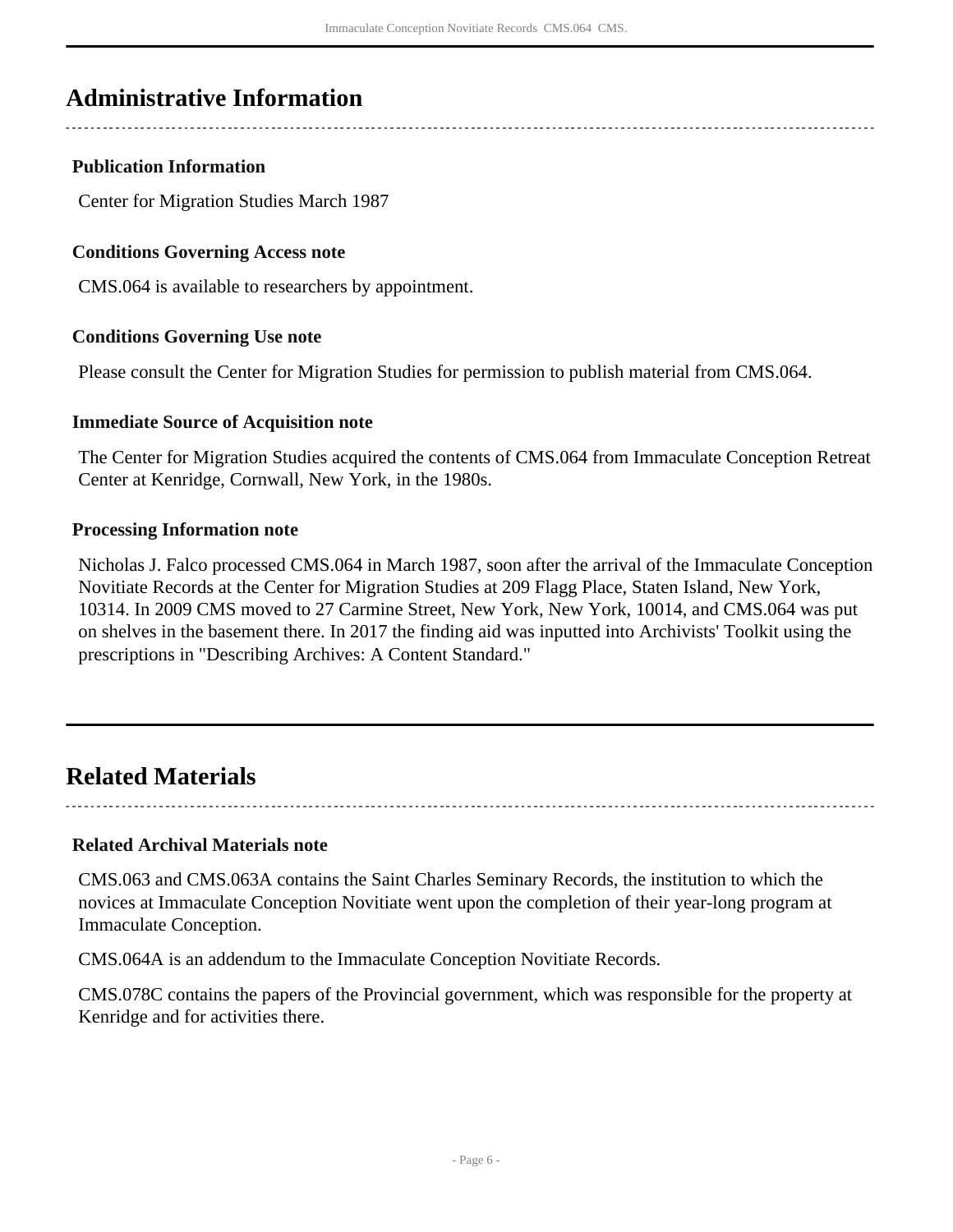### <span id="page-5-0"></span>**Administrative Information**

#### **Publication Information**

Center for Migration Studies March 1987

#### **Conditions Governing Access note**

CMS.064 is available to researchers by appointment.

#### **Conditions Governing Use note**

Please consult the Center for Migration Studies for permission to publish material from CMS.064.

#### **Immediate Source of Acquisition note**

The Center for Migration Studies acquired the contents of CMS.064 from Immaculate Conception Retreat Center at Kenridge, Cornwall, New York, in the 1980s.

#### **Processing Information note**

Nicholas J. Falco processed CMS.064 in March 1987, soon after the arrival of the Immaculate Conception Novitiate Records at the Center for Migration Studies at 209 Flagg Place, Staten Island, New York, 10314. In 2009 CMS moved to 27 Carmine Street, New York, New York, 10014, and CMS.064 was put on shelves in the basement there. In 2017 the finding aid was inputted into Archivists' Toolkit using the prescriptions in "Describing Archives: A Content Standard."

### <span id="page-5-1"></span>**Related Materials**

**Related Archival Materials note**

CMS.063 and CMS.063A contains the Saint Charles Seminary Records, the institution to which the novices at Immaculate Conception Novitiate went upon the completion of their year-long program at Immaculate Conception.

CMS.064A is an addendum to the Immaculate Conception Novitiate Records.

CMS.078C contains the papers of the Provincial government, which was responsible for the property at Kenridge and for activities there.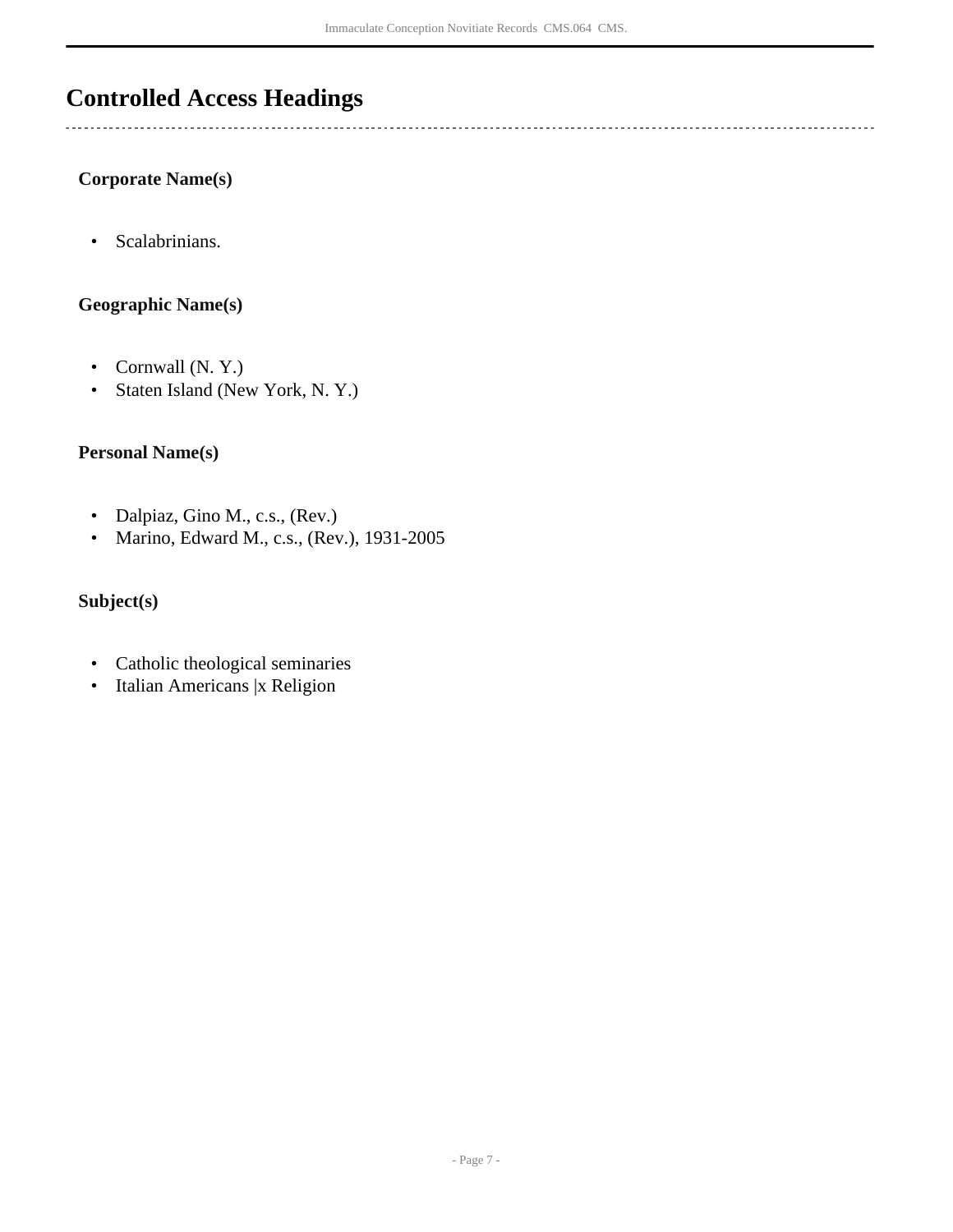## <span id="page-6-0"></span>**Controlled Access Headings**

**Corporate Name(s)**

• Scalabrinians.

#### **Geographic Name(s)**

- Cornwall (N. Y.)
- Staten Island (New York, N. Y.)

#### **Personal Name(s)**

- Dalpiaz, Gino M., c.s., (Rev.)
- Marino, Edward M., c.s., (Rev.), 1931-2005

#### **Subject(s)**

- Catholic theological seminaries
- Italian Americans |x Religion